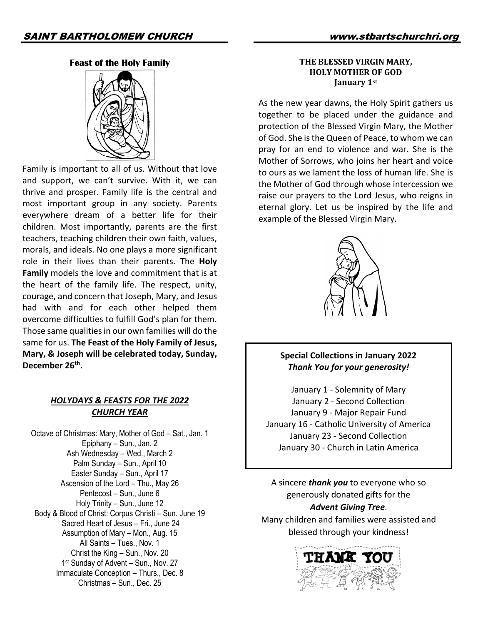#### **Feast of the Holy Family**



Family is important to all of us. Without that love and support, we can't survive. With it, we can thrive and prosper. Family life is the central and most important group in any society. Parents everywhere dream of a better life for their children. Most importantly, parents are the first teachers, teaching children their own faith, values, morals, and ideals. No one plays a more significant role in their lives than their parents. The **Holy Family** models the love and commitment that is at the heart of the family life. The respect, unity, courage, and concern that Joseph, Mary, and Jesus had with and for each other helped them overcome difficulties to fulfill God's plan for them. Those same qualities in our own families will do the same for us. **The Feast of the Holy Family of Jesus, Mary, & Joseph will be celebrated today, Sunday, December 26th.**

## *HOLYDAYS & FEASTS FOR THE 2022 CHURCH YEAR*

Octave of Christmas: Mary, Mother of God – Sat., Jan. 1 Epiphany – Sun., Jan. 2 Ash Wednesday – Wed., March 2 Palm Sunday – Sun., April 10 Easter Sunday – Sun., April 17 Ascension of the Lord – Thu., May 26 Pentecost – Sun., June 6 Holy Trinity – Sun., June 12 Body & Blood of Christ: Corpus Christi – Sun. June 19 Sacred Heart of Jesus – Fri., June 24 Assumption of Mary – Mon., Aug. 15 All Saints – Tues., Nov. 1 Christ the King – Sun., Nov. 20 1<sup>st</sup> Sunday of Advent – Sun., Nov. 27 Immaculate Conception – Thurs., Dec. 8 Christmas – Sun., Dec. 25

#### **THE BLESSED VIRGIN MARY. HOLY MOTHER OF GOD January** 1st

As the new year dawns, the Holy Spirit gathers us together to be placed under the guidance and protection of the Blessed Virgin Mary, the Mother of God. She is the Queen of Peace, to whom we can pray for an end to violence and war. She is the Mother of Sorrows, who joins her heart and voice to ours as we lament the loss of human life. She is the Mother of God through whose intercession we raise our prayers to the Lord Jesus, who reigns in eternal glory. Let us be inspired by the life and example of the Blessed Virgin Mary.



## **Special Collections in January 2022** *Thank You for your generosity!*

January 1 - Solemnity of Mary January 2 - Second Collection January 9 - Major Repair Fund January 16 - Catholic University of America January 23 - Second Collection January 30 - Church in Latin America

A sincere *thank you* to everyone who so generously donated gifts for the *Advent Giving Tree*.

Many children and families were assisted and blessed through your kindness!